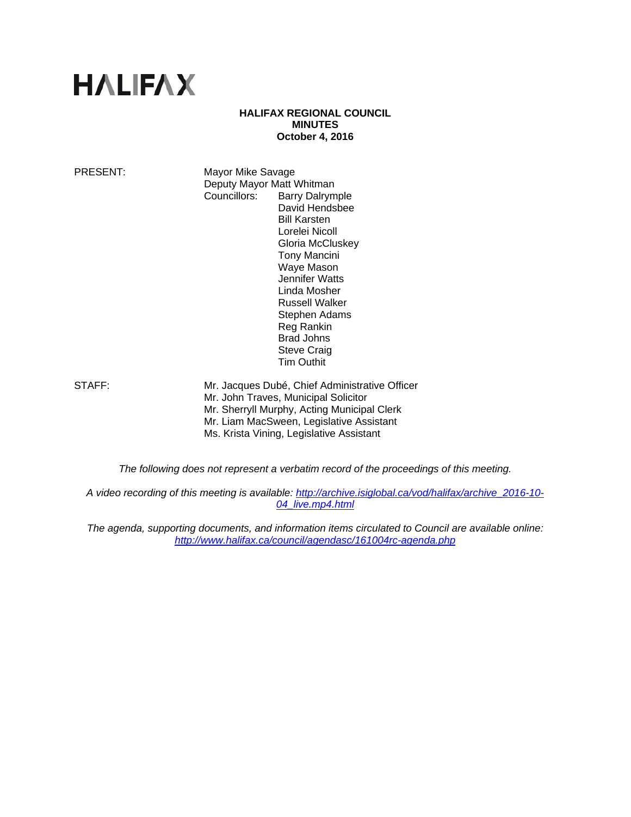# **HALIFAX**

## **HALIFAX REGIONAL COUNCIL MINUTES October 4, 2016**

PRESENT: Mayor Mike Savage Deputy Mayor Matt Whitman Councillors: Barry Dalrymple David Hendsbee Bill Karsten Lorelei Nicoll Gloria McCluskey Tony Mancini Waye Mason Jennifer Watts Linda Mosher Russell Walker Stephen Adams Reg Rankin Brad Johns Steve Craig Tim Outhit

STAFF: Mr. Jacques Dubé, Chief Administrative Officer Mr. John Traves, Municipal Solicitor Mr. Sherryll Murphy, Acting Municipal Clerk Mr. Liam MacSween, Legislative Assistant Ms. Krista Vining, Legislative Assistant

*The following does not represent a verbatim record of the proceedings of this meeting.* 

*A video recording of this meeting is available: http://archive.isiglobal.ca/vod/halifax/archive\_2016-10- 04\_live.mp4.html* 

*The agenda, supporting documents, and information items circulated to Council are available online: http://www.halifax.ca/council/agendasc/161004rc-agenda.php*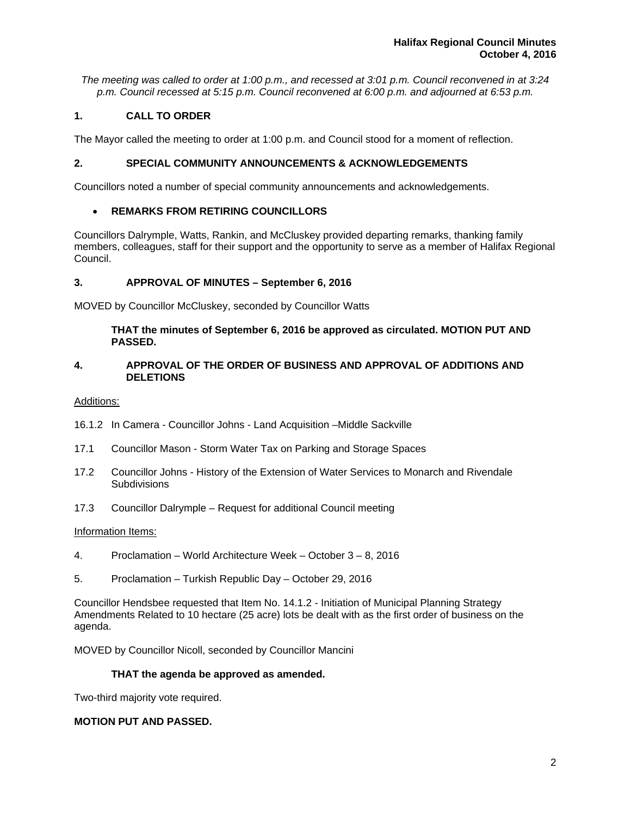*The meeting was called to order at 1:00 p.m., and recessed at 3:01 p.m. Council reconvened in at 3:24 p.m. Council recessed at 5:15 p.m. Council reconvened at 6:00 p.m. and adjourned at 6:53 p.m.* 

# **1. CALL TO ORDER**

The Mayor called the meeting to order at 1:00 p.m. and Council stood for a moment of reflection.

## **2. SPECIAL COMMUNITY ANNOUNCEMENTS & ACKNOWLEDGEMENTS**

Councillors noted a number of special community announcements and acknowledgements.

## **REMARKS FROM RETIRING COUNCILLORS**

Councillors Dalrymple, Watts, Rankin, and McCluskey provided departing remarks, thanking family members, colleagues, staff for their support and the opportunity to serve as a member of Halifax Regional Council.

## **3. APPROVAL OF MINUTES – September 6, 2016**

MOVED by Councillor McCluskey, seconded by Councillor Watts

## **THAT the minutes of September 6, 2016 be approved as circulated. MOTION PUT AND PASSED.**

## **4. APPROVAL OF THE ORDER OF BUSINESS AND APPROVAL OF ADDITIONS AND DELETIONS**

#### Additions:

- 16.1.2 In Camera Councillor Johns Land Acquisition –Middle Sackville
- 17.1 Councillor Mason Storm Water Tax on Parking and Storage Spaces
- 17.2 Councillor Johns History of the Extension of Water Services to Monarch and Rivendale **Subdivisions**
- 17.3 Councillor Dalrymple Request for additional Council meeting

#### Information Items:

- 4. Proclamation World Architecture Week October 3 8, 2016
- 5. Proclamation Turkish Republic Day October 29, 2016

Councillor Hendsbee requested that Item No. 14.1.2 - Initiation of Municipal Planning Strategy Amendments Related to 10 hectare (25 acre) lots be dealt with as the first order of business on the agenda.

MOVED by Councillor Nicoll, seconded by Councillor Mancini

## **THAT the agenda be approved as amended.**

Two-third majority vote required.

## **MOTION PUT AND PASSED.**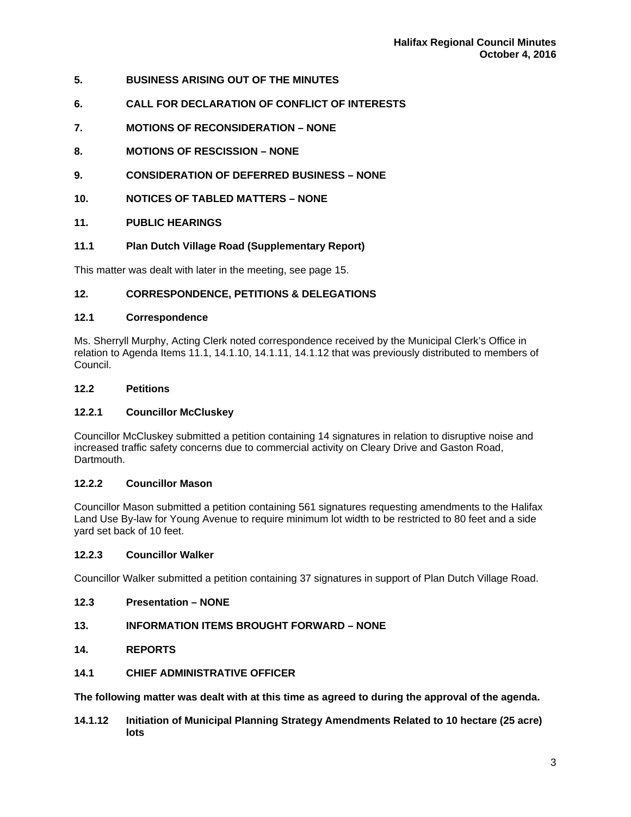- **5. BUSINESS ARISING OUT OF THE MINUTES**
- **6. CALL FOR DECLARATION OF CONFLICT OF INTERESTS**
- **7. MOTIONS OF RECONSIDERATION NONE**
- **8. MOTIONS OF RESCISSION NONE**
- **9. CONSIDERATION OF DEFERRED BUSINESS NONE**
- **10. NOTICES OF TABLED MATTERS NONE**
- **11. PUBLIC HEARINGS**
- **11.1 Plan Dutch Village Road (Supplementary Report)**

This matter was dealt with later in the meeting, see page 15.

# **12. CORRESPONDENCE, PETITIONS & DELEGATIONS**

## **12.1 Correspondence**

Ms. Sherryll Murphy, Acting Clerk noted correspondence received by the Municipal Clerk's Office in relation to Agenda Items 11.1, 14.1.10, 14.1.11, 14.1.12 that was previously distributed to members of Council.

# **12.2 Petitions**

# **12.2.1 Councillor McCluskey**

Councillor McCluskey submitted a petition containing 14 signatures in relation to disruptive noise and increased traffic safety concerns due to commercial activity on Cleary Drive and Gaston Road, Dartmouth.

# **12.2.2 Councillor Mason**

Councillor Mason submitted a petition containing 561 signatures requesting amendments to the Halifax Land Use By-law for Young Avenue to require minimum lot width to be restricted to 80 feet and a side yard set back of 10 feet.

## **12.2.3 Councillor Walker**

Councillor Walker submitted a petition containing 37 signatures in support of Plan Dutch Village Road.

# **12.3 Presentation – NONE**

# **13. INFORMATION ITEMS BROUGHT FORWARD – NONE**

# **14. REPORTS**

**14.1 CHIEF ADMINISTRATIVE OFFICER** 

**The following matter was dealt with at this time as agreed to during the approval of the agenda.** 

**14.1.12 Initiation of Municipal Planning Strategy Amendments Related to 10 hectare (25 acre) lots**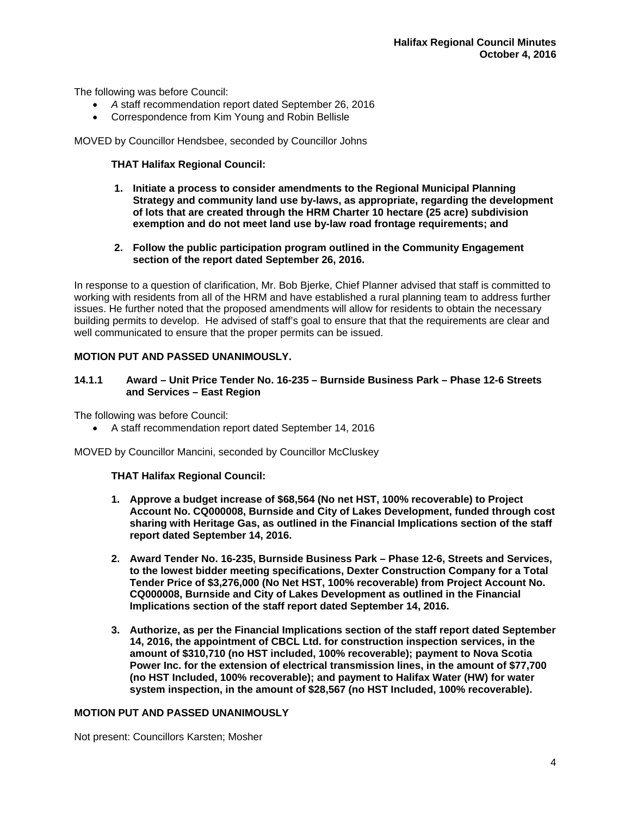The following was before Council:

- *A* staff recommendation report dated September 26, 2016
- Correspondence from Kim Young and Robin Bellisle

MOVED by Councillor Hendsbee, seconded by Councillor Johns

## **THAT Halifax Regional Council:**

- **1. Initiate a process to consider amendments to the Regional Municipal Planning Strategy and community land use by-laws, as appropriate, regarding the development of lots that are created through the HRM Charter 10 hectare (25 acre) subdivision exemption and do not meet land use by-law road frontage requirements; and**
- **2. Follow the public participation program outlined in the Community Engagement section of the report dated September 26, 2016.**

In response to a question of clarification, Mr. Bob Bjerke, Chief Planner advised that staff is committed to working with residents from all of the HRM and have established a rural planning team to address further issues. He further noted that the proposed amendments will allow for residents to obtain the necessary building permits to develop. He advised of staff's goal to ensure that that the requirements are clear and well communicated to ensure that the proper permits can be issued.

## **MOTION PUT AND PASSED UNANIMOUSLY.**

## **14.1.1 Award – Unit Price Tender No. 16-235 – Burnside Business Park – Phase 12-6 Streets and Services – East Region**

The following was before Council:

A staff recommendation report dated September 14, 2016

MOVED by Councillor Mancini, seconded by Councillor McCluskey

## **THAT Halifax Regional Council:**

- **1. Approve a budget increase of \$68,564 (No net HST, 100% recoverable) to Project Account No. CQ000008, Burnside and City of Lakes Development, funded through cost sharing with Heritage Gas, as outlined in the Financial Implications section of the staff report dated September 14, 2016.**
- **2. Award Tender No. 16-235, Burnside Business Park Phase 12-6, Streets and Services, to the lowest bidder meeting specifications, Dexter Construction Company for a Total Tender Price of \$3,276,000 (No Net HST, 100% recoverable) from Project Account No. CQ000008, Burnside and City of Lakes Development as outlined in the Financial Implications section of the staff report dated September 14, 2016.**
- **3. Authorize, as per the Financial Implications section of the staff report dated September 14, 2016, the appointment of CBCL Ltd. for construction inspection services, in the amount of \$310,710 (no HST included, 100% recoverable); payment to Nova Scotia Power Inc. for the extension of electrical transmission lines, in the amount of \$77,700 (no HST Included, 100% recoverable); and payment to Halifax Water (HW) for water system inspection, in the amount of \$28,567 (no HST Included, 100% recoverable).**

## **MOTION PUT AND PASSED UNANIMOUSLY**

Not present: Councillors Karsten; Mosher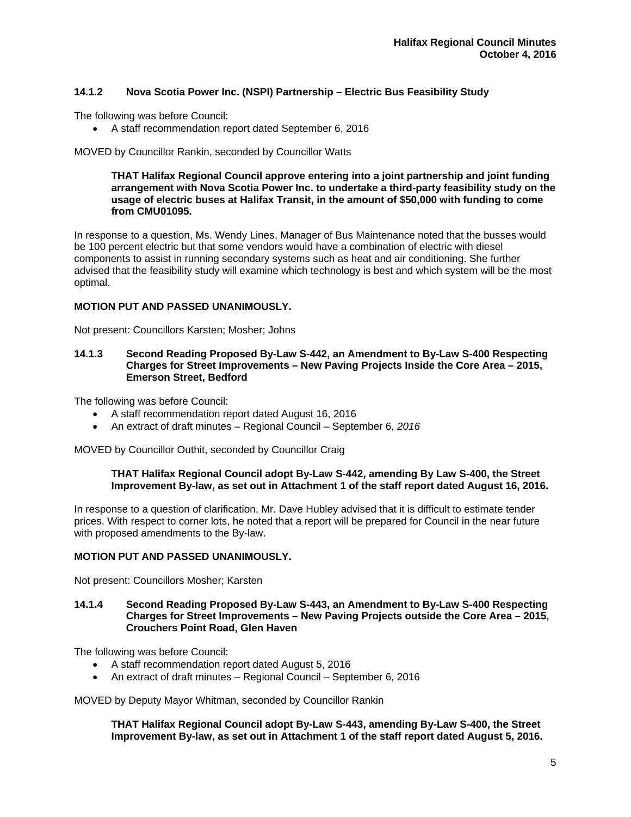# **14.1.2 Nova Scotia Power Inc. (NSPI) Partnership – Electric Bus Feasibility Study**

The following was before Council:

A staff recommendation report dated September 6, 2016

MOVED by Councillor Rankin, seconded by Councillor Watts

#### **THAT Halifax Regional Council approve entering into a joint partnership and joint funding arrangement with Nova Scotia Power Inc. to undertake a third-party feasibility study on the usage of electric buses at Halifax Transit, in the amount of \$50,000 with funding to come from CMU01095.**

In response to a question, Ms. Wendy Lines, Manager of Bus Maintenance noted that the busses would be 100 percent electric but that some vendors would have a combination of electric with diesel components to assist in running secondary systems such as heat and air conditioning. She further advised that the feasibility study will examine which technology is best and which system will be the most optimal.

## **MOTION PUT AND PASSED UNANIMOUSLY.**

Not present: Councillors Karsten; Mosher; Johns

#### **14.1.3 Second Reading Proposed By-Law S-442, an Amendment to By-Law S-400 Respecting Charges for Street Improvements – New Paving Projects Inside the Core Area – 2015, Emerson Street, Bedford**

The following was before Council:

- A staff recommendation report dated August 16, 2016
- An extract of draft minutes Regional Council September 6, *2016*

MOVED by Councillor Outhit, seconded by Councillor Craig

#### **THAT Halifax Regional Council adopt By-Law S-442, amending By Law S-400, the Street Improvement By-law, as set out in Attachment 1 of the staff report dated August 16, 2016.**

In response to a question of clarification, Mr. Dave Hubley advised that it is difficult to estimate tender prices. With respect to corner lots, he noted that a report will be prepared for Council in the near future with proposed amendments to the By-law.

## **MOTION PUT AND PASSED UNANIMOUSLY.**

Not present: Councillors Mosher; Karsten

#### **14.1.4 Second Reading Proposed By-Law S-443, an Amendment to By-Law S-400 Respecting Charges for Street Improvements – New Paving Projects outside the Core Area – 2015, Crouchers Point Road, Glen Haven**

The following was before Council:

- A staff recommendation report dated August 5, 2016
- An extract of draft minutes Regional Council September 6, 2016

MOVED by Deputy Mayor Whitman, seconded by Councillor Rankin

**THAT Halifax Regional Council adopt By-Law S-443, amending By-Law S-400, the Street Improvement By-law, as set out in Attachment 1 of the staff report dated August 5, 2016.**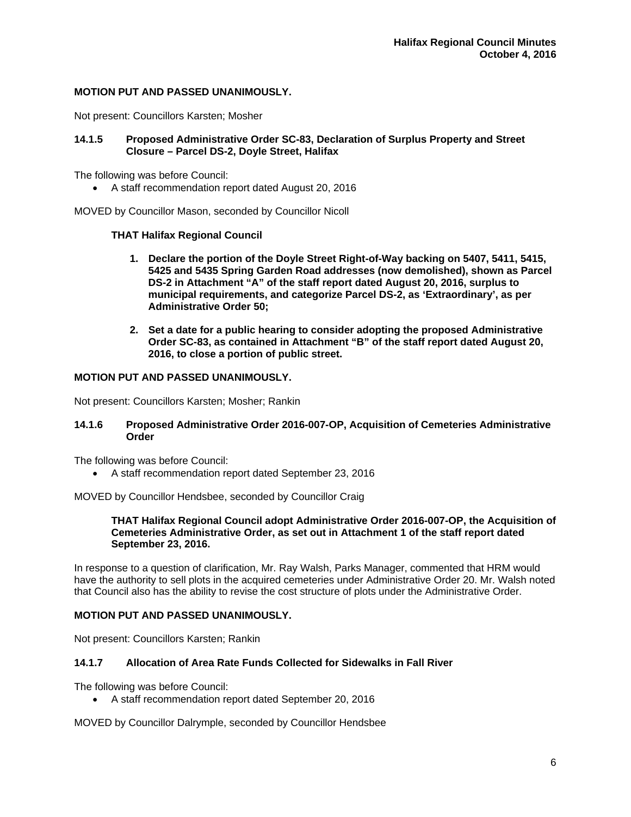## **MOTION PUT AND PASSED UNANIMOUSLY.**

Not present: Councillors Karsten; Mosher

## **14.1.5 Proposed Administrative Order SC-83, Declaration of Surplus Property and Street Closure – Parcel DS-2, Doyle Street, Halifax**

The following was before Council:

A staff recommendation report dated August 20, 2016

MOVED by Councillor Mason, seconded by Councillor Nicoll

## **THAT Halifax Regional Council**

- **1. Declare the portion of the Doyle Street Right-of-Way backing on 5407, 5411, 5415, 5425 and 5435 Spring Garden Road addresses (now demolished), shown as Parcel DS-2 in Attachment "A" of the staff report dated August 20, 2016, surplus to municipal requirements, and categorize Parcel DS-2, as 'Extraordinary', as per Administrative Order 50;**
- **2. Set a date for a public hearing to consider adopting the proposed Administrative Order SC-83, as contained in Attachment "B" of the staff report dated August 20, 2016, to close a portion of public street.**

## **MOTION PUT AND PASSED UNANIMOUSLY.**

Not present: Councillors Karsten; Mosher; Rankin

#### **14.1.6 Proposed Administrative Order 2016-007-OP, Acquisition of Cemeteries Administrative Order**

The following was before Council:

A staff recommendation report dated September 23, 2016

MOVED by Councillor Hendsbee, seconded by Councillor Craig

#### **THAT Halifax Regional Council adopt Administrative Order 2016-007-OP, the Acquisition of Cemeteries Administrative Order, as set out in Attachment 1 of the staff report dated September 23, 2016.**

In response to a question of clarification, Mr. Ray Walsh, Parks Manager, commented that HRM would have the authority to sell plots in the acquired cemeteries under Administrative Order 20. Mr. Walsh noted that Council also has the ability to revise the cost structure of plots under the Administrative Order.

## **MOTION PUT AND PASSED UNANIMOUSLY.**

Not present: Councillors Karsten; Rankin

## **14.1.7 Allocation of Area Rate Funds Collected for Sidewalks in Fall River**

The following was before Council:

A staff recommendation report dated September 20, 2016

MOVED by Councillor Dalrymple, seconded by Councillor Hendsbee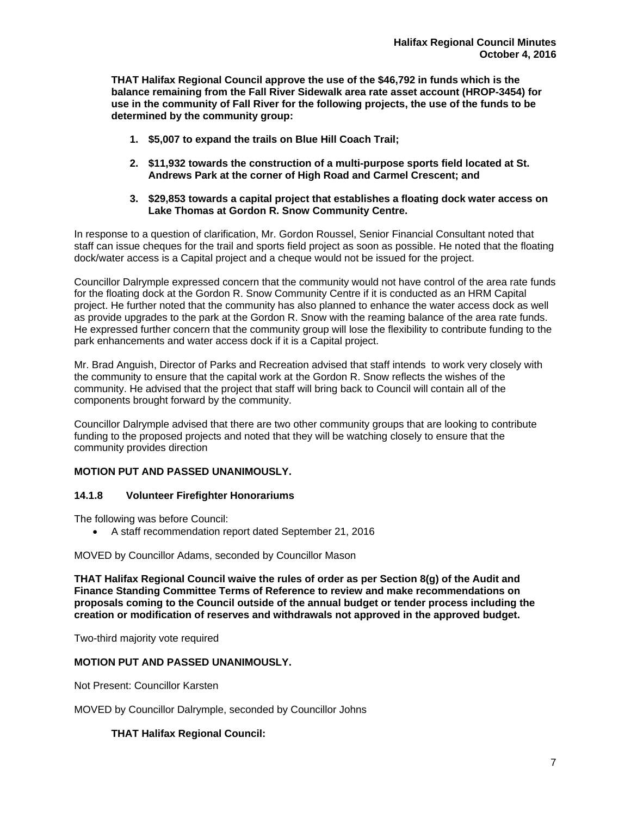**THAT Halifax Regional Council approve the use of the \$46,792 in funds which is the balance remaining from the Fall River Sidewalk area rate asset account (HROP-3454) for use in the community of Fall River for the following projects, the use of the funds to be determined by the community group:** 

- **1. \$5,007 to expand the trails on Blue Hill Coach Trail;**
- **2. \$11,932 towards the construction of a multi-purpose sports field located at St. Andrews Park at the corner of High Road and Carmel Crescent; and**
- **3. \$29,853 towards a capital project that establishes a floating dock water access on Lake Thomas at Gordon R. Snow Community Centre.**

In response to a question of clarification, Mr. Gordon Roussel, Senior Financial Consultant noted that staff can issue cheques for the trail and sports field project as soon as possible. He noted that the floating dock/water access is a Capital project and a cheque would not be issued for the project.

Councillor Dalrymple expressed concern that the community would not have control of the area rate funds for the floating dock at the Gordon R. Snow Community Centre if it is conducted as an HRM Capital project. He further noted that the community has also planned to enhance the water access dock as well as provide upgrades to the park at the Gordon R. Snow with the reaming balance of the area rate funds. He expressed further concern that the community group will lose the flexibility to contribute funding to the park enhancements and water access dock if it is a Capital project.

Mr. Brad Anguish, Director of Parks and Recreation advised that staff intends to work very closely with the community to ensure that the capital work at the Gordon R. Snow reflects the wishes of the community. He advised that the project that staff will bring back to Council will contain all of the components brought forward by the community.

Councillor Dalrymple advised that there are two other community groups that are looking to contribute funding to the proposed projects and noted that they will be watching closely to ensure that the community provides direction

# **MOTION PUT AND PASSED UNANIMOUSLY.**

## **14.1.8 Volunteer Firefighter Honorariums**

The following was before Council:

A staff recommendation report dated September 21, 2016

MOVED by Councillor Adams, seconded by Councillor Mason

**THAT Halifax Regional Council waive the rules of order as per Section 8(g) of the Audit and Finance Standing Committee Terms of Reference to review and make recommendations on proposals coming to the Council outside of the annual budget or tender process including the creation or modification of reserves and withdrawals not approved in the approved budget.** 

Two-third majority vote required

## **MOTION PUT AND PASSED UNANIMOUSLY.**

Not Present: Councillor Karsten

MOVED by Councillor Dalrymple, seconded by Councillor Johns

## **THAT Halifax Regional Council:**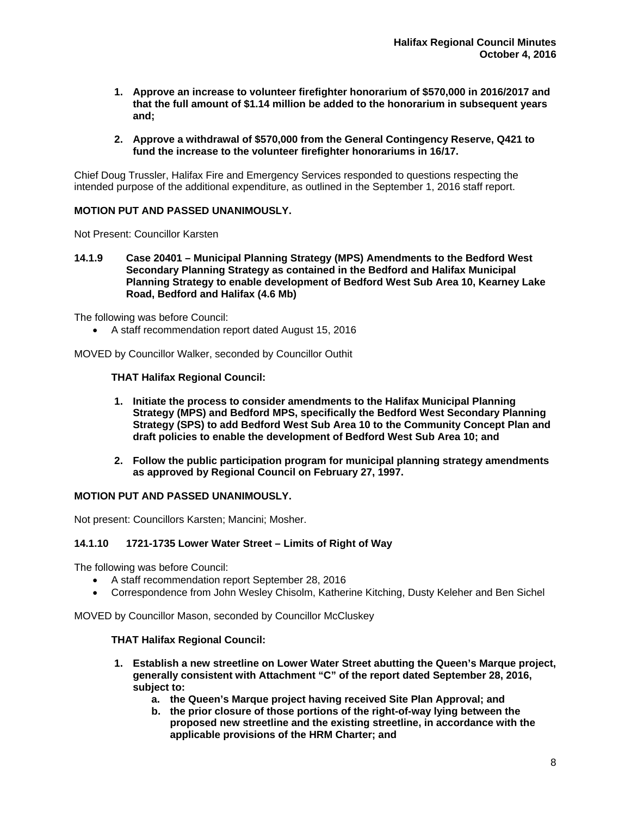- **1. Approve an increase to volunteer firefighter honorarium of \$570,000 in 2016/2017 and that the full amount of \$1.14 million be added to the honorarium in subsequent years and;**
- **2. Approve a withdrawal of \$570,000 from the General Contingency Reserve, Q421 to fund the increase to the volunteer firefighter honorariums in 16/17.**

Chief Doug Trussler, Halifax Fire and Emergency Services responded to questions respecting the intended purpose of the additional expenditure, as outlined in the September 1, 2016 staff report.

## **MOTION PUT AND PASSED UNANIMOUSLY.**

Not Present: Councillor Karsten

**14.1.9 Case 20401 – Municipal Planning Strategy (MPS) Amendments to the Bedford West Secondary Planning Strategy as contained in the Bedford and Halifax Municipal Planning Strategy to enable development of Bedford West Sub Area 10, Kearney Lake Road, Bedford and Halifax (4.6 Mb)** 

The following was before Council:

A staff recommendation report dated August 15, 2016

MOVED by Councillor Walker, seconded by Councillor Outhit

## **THAT Halifax Regional Council:**

- **1. Initiate the process to consider amendments to the Halifax Municipal Planning Strategy (MPS) and Bedford MPS, specifically the Bedford West Secondary Planning Strategy (SPS) to add Bedford West Sub Area 10 to the Community Concept Plan and draft policies to enable the development of Bedford West Sub Area 10; and**
- **2. Follow the public participation program for municipal planning strategy amendments as approved by Regional Council on February 27, 1997.**

## **MOTION PUT AND PASSED UNANIMOUSLY.**

Not present: Councillors Karsten; Mancini; Mosher.

## **14.1.10 1721-1735 Lower Water Street – Limits of Right of Way**

The following was before Council:

- A staff recommendation report September 28, 2016
- Correspondence from John Wesley Chisolm, Katherine Kitching, Dusty Keleher and Ben Sichel

MOVED by Councillor Mason, seconded by Councillor McCluskey

## **THAT Halifax Regional Council:**

- **1. Establish a new streetline on Lower Water Street abutting the Queen's Marque project, generally consistent with Attachment "C" of the report dated September 28, 2016, subject to:** 
	- **a. the Queen's Marque project having received Site Plan Approval; and**
	- **b. the prior closure of those portions of the right-of-way lying between the proposed new streetline and the existing streetline, in accordance with the applicable provisions of the HRM Charter; and**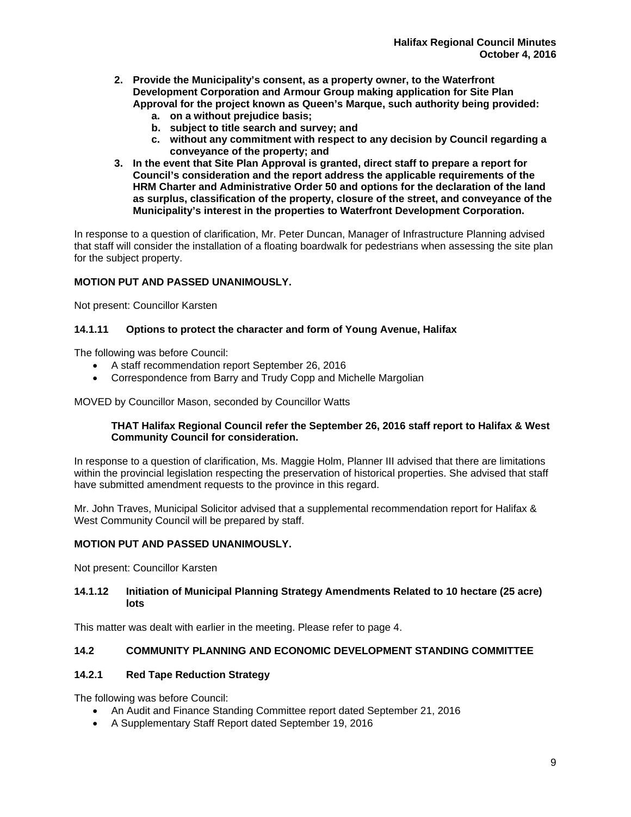- **2. Provide the Municipality's consent, as a property owner, to the Waterfront Development Corporation and Armour Group making application for Site Plan Approval for the project known as Queen's Marque, such authority being provided:** 
	- **a. on a without prejudice basis;**
	- **b. subject to title search and survey; and**
	- **c. without any commitment with respect to any decision by Council regarding a conveyance of the property; and**
- **3. In the event that Site Plan Approval is granted, direct staff to prepare a report for Council's consideration and the report address the applicable requirements of the HRM Charter and Administrative Order 50 and options for the declaration of the land as surplus, classification of the property, closure of the street, and conveyance of the Municipality's interest in the properties to Waterfront Development Corporation.**

In response to a question of clarification, Mr. Peter Duncan, Manager of Infrastructure Planning advised that staff will consider the installation of a floating boardwalk for pedestrians when assessing the site plan for the subject property.

## **MOTION PUT AND PASSED UNANIMOUSLY.**

Not present: Councillor Karsten

## **14.1.11 Options to protect the character and form of Young Avenue, Halifax**

The following was before Council:

- A staff recommendation report September 26, 2016
- Correspondence from Barry and Trudy Copp and Michelle Margolian

MOVED by Councillor Mason, seconded by Councillor Watts

## **THAT Halifax Regional Council refer the September 26, 2016 staff report to Halifax & West Community Council for consideration.**

In response to a question of clarification, Ms. Maggie Holm, Planner III advised that there are limitations within the provincial legislation respecting the preservation of historical properties. She advised that staff have submitted amendment requests to the province in this regard.

Mr. John Traves, Municipal Solicitor advised that a supplemental recommendation report for Halifax & West Community Council will be prepared by staff.

## **MOTION PUT AND PASSED UNANIMOUSLY.**

Not present: Councillor Karsten

## **14.1.12 Initiation of Municipal Planning Strategy Amendments Related to 10 hectare (25 acre) lots**

This matter was dealt with earlier in the meeting. Please refer to page 4.

## **14.2 COMMUNITY PLANNING AND ECONOMIC DEVELOPMENT STANDING COMMITTEE**

# **14.2.1 Red Tape Reduction Strategy**

The following was before Council:

- An Audit and Finance Standing Committee report dated September 21, 2016
- A Supplementary Staff Report dated September 19, 2016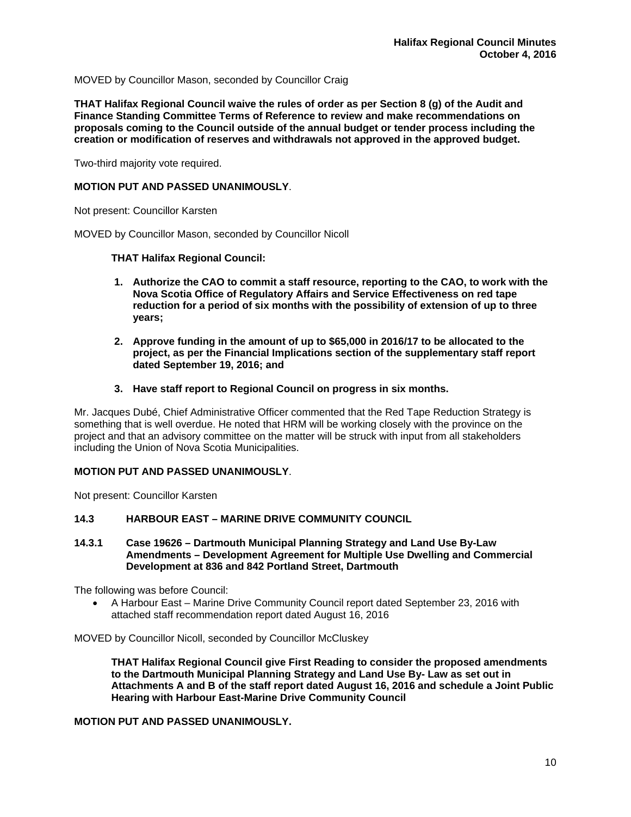MOVED by Councillor Mason, seconded by Councillor Craig

**THAT Halifax Regional Council waive the rules of order as per Section 8 (g) of the Audit and Finance Standing Committee Terms of Reference to review and make recommendations on proposals coming to the Council outside of the annual budget or tender process including the creation or modification of reserves and withdrawals not approved in the approved budget.** 

Two-third majority vote required.

## **MOTION PUT AND PASSED UNANIMOUSLY**.

Not present: Councillor Karsten

MOVED by Councillor Mason, seconded by Councillor Nicoll

#### **THAT Halifax Regional Council:**

- **1. Authorize the CAO to commit a staff resource, reporting to the CAO, to work with the Nova Scotia Office of Regulatory Affairs and Service Effectiveness on red tape reduction for a period of six months with the possibility of extension of up to three years;**
- **2. Approve funding in the amount of up to \$65,000 in 2016/17 to be allocated to the project, as per the Financial Implications section of the supplementary staff report dated September 19, 2016; and**
- **3. Have staff report to Regional Council on progress in six months.**

Mr. Jacques Dubé, Chief Administrative Officer commented that the Red Tape Reduction Strategy is something that is well overdue. He noted that HRM will be working closely with the province on the project and that an advisory committee on the matter will be struck with input from all stakeholders including the Union of Nova Scotia Municipalities.

#### **MOTION PUT AND PASSED UNANIMOUSLY**.

Not present: Councillor Karsten

#### **14.3 HARBOUR EAST – MARINE DRIVE COMMUNITY COUNCIL**

**14.3.1 Case 19626 – Dartmouth Municipal Planning Strategy and Land Use By-Law Amendments – Development Agreement for Multiple Use Dwelling and Commercial Development at 836 and 842 Portland Street, Dartmouth** 

The following was before Council:

 A Harbour East – Marine Drive Community Council report dated September 23, 2016 with attached staff recommendation report dated August 16, 2016

MOVED by Councillor Nicoll, seconded by Councillor McCluskey

**THAT Halifax Regional Council give First Reading to consider the proposed amendments to the Dartmouth Municipal Planning Strategy and Land Use By- Law as set out in Attachments A and B of the staff report dated August 16, 2016 and schedule a Joint Public Hearing with Harbour East-Marine Drive Community Council** 

## **MOTION PUT AND PASSED UNANIMOUSLY.**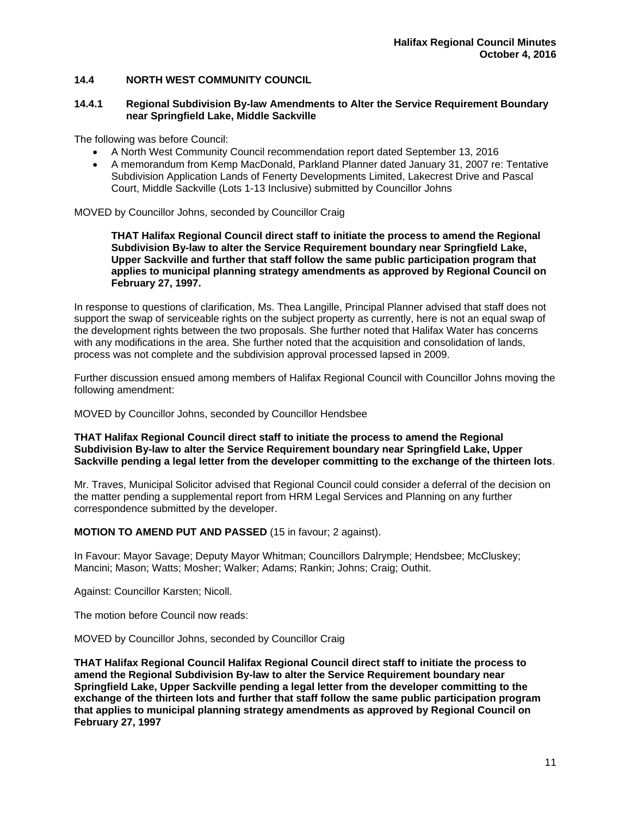# **14.4 NORTH WEST COMMUNITY COUNCIL**

#### **14.4.1 Regional Subdivision By-law Amendments to Alter the Service Requirement Boundary near Springfield Lake, Middle Sackville**

The following was before Council:

- A North West Community Council recommendation report dated September 13, 2016
- A memorandum from Kemp MacDonald, Parkland Planner dated January 31, 2007 re: Tentative Subdivision Application Lands of Fenerty Developments Limited, Lakecrest Drive and Pascal Court, Middle Sackville (Lots 1-13 Inclusive) submitted by Councillor Johns

MOVED by Councillor Johns, seconded by Councillor Craig

**THAT Halifax Regional Council direct staff to initiate the process to amend the Regional Subdivision By-law to alter the Service Requirement boundary near Springfield Lake, Upper Sackville and further that staff follow the same public participation program that applies to municipal planning strategy amendments as approved by Regional Council on February 27, 1997.** 

In response to questions of clarification, Ms. Thea Langille, Principal Planner advised that staff does not support the swap of serviceable rights on the subject property as currently, here is not an equal swap of the development rights between the two proposals. She further noted that Halifax Water has concerns with any modifications in the area. She further noted that the acquisition and consolidation of lands, process was not complete and the subdivision approval processed lapsed in 2009.

Further discussion ensued among members of Halifax Regional Council with Councillor Johns moving the following amendment:

MOVED by Councillor Johns, seconded by Councillor Hendsbee

**THAT Halifax Regional Council direct staff to initiate the process to amend the Regional Subdivision By-law to alter the Service Requirement boundary near Springfield Lake, Upper Sackville pending a legal letter from the developer committing to the exchange of the thirteen lots**.

Mr. Traves, Municipal Solicitor advised that Regional Council could consider a deferral of the decision on the matter pending a supplemental report from HRM Legal Services and Planning on any further correspondence submitted by the developer.

**MOTION TO AMEND PUT AND PASSED** (15 in favour; 2 against).

In Favour: Mayor Savage; Deputy Mayor Whitman; Councillors Dalrymple; Hendsbee; McCluskey; Mancini; Mason; Watts; Mosher; Walker; Adams; Rankin; Johns; Craig; Outhit.

Against: Councillor Karsten; Nicoll.

The motion before Council now reads:

MOVED by Councillor Johns, seconded by Councillor Craig

**THAT Halifax Regional Council Halifax Regional Council direct staff to initiate the process to amend the Regional Subdivision By-law to alter the Service Requirement boundary near Springfield Lake, Upper Sackville pending a legal letter from the developer committing to the exchange of the thirteen lots and further that staff follow the same public participation program that applies to municipal planning strategy amendments as approved by Regional Council on February 27, 1997**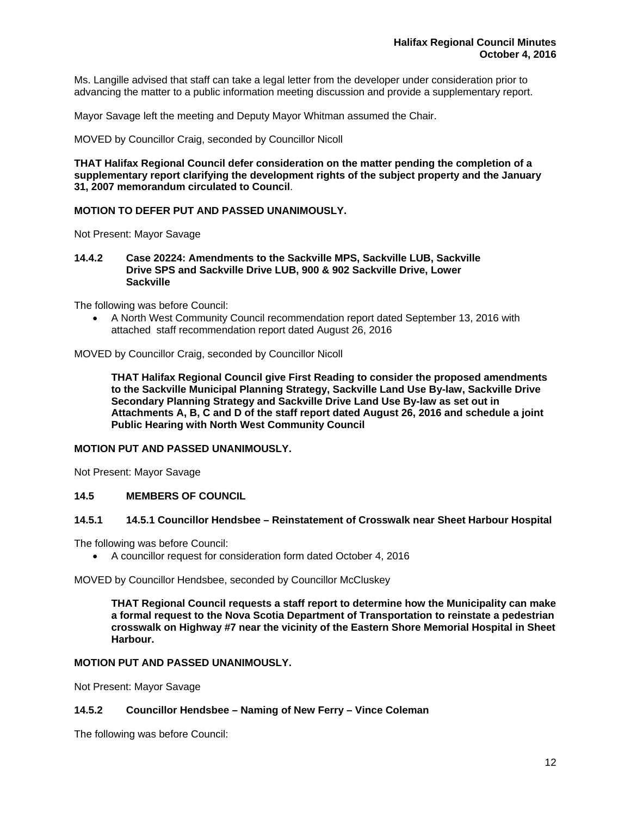Ms. Langille advised that staff can take a legal letter from the developer under consideration prior to advancing the matter to a public information meeting discussion and provide a supplementary report.

Mayor Savage left the meeting and Deputy Mayor Whitman assumed the Chair.

MOVED by Councillor Craig, seconded by Councillor Nicoll

**THAT Halifax Regional Council defer consideration on the matter pending the completion of a supplementary report clarifying the development rights of the subject property and the January 31, 2007 memorandum circulated to Council**.

## **MOTION TO DEFER PUT AND PASSED UNANIMOUSLY.**

Not Present: Mayor Savage

**14.4.2 Case 20224: Amendments to the Sackville MPS, Sackville LUB, Sackville Drive SPS and Sackville Drive LUB, 900 & 902 Sackville Drive, Lower Sackville** 

The following was before Council:

 A North West Community Council recommendation report dated September 13, 2016 with attached staff recommendation report dated August 26, 2016

MOVED by Councillor Craig, seconded by Councillor Nicoll

**THAT Halifax Regional Council give First Reading to consider the proposed amendments to the Sackville Municipal Planning Strategy, Sackville Land Use By-law, Sackville Drive Secondary Planning Strategy and Sackville Drive Land Use By-law as set out in Attachments A, B, C and D of the staff report dated August 26, 2016 and schedule a joint Public Hearing with North West Community Council**

## **MOTION PUT AND PASSED UNANIMOUSLY.**

Not Present: Mayor Savage

## **14.5 MEMBERS OF COUNCIL**

## **14.5.1 14.5.1 Councillor Hendsbee – Reinstatement of Crosswalk near Sheet Harbour Hospital**

The following was before Council:

A councillor request for consideration form dated October 4, 2016

MOVED by Councillor Hendsbee, seconded by Councillor McCluskey

**THAT Regional Council requests a staff report to determine how the Municipality can make a formal request to the Nova Scotia Department of Transportation to reinstate a pedestrian crosswalk on Highway #7 near the vicinity of the Eastern Shore Memorial Hospital in Sheet Harbour.** 

#### **MOTION PUT AND PASSED UNANIMOUSLY.**

Not Present: Mayor Savage

#### **14.5.2 Councillor Hendsbee – Naming of New Ferry – Vince Coleman**

The following was before Council: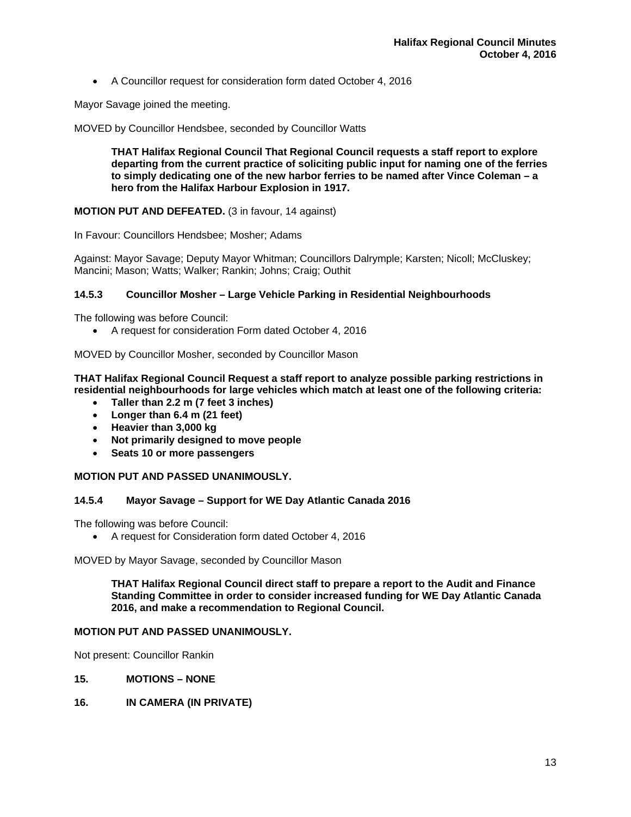A Councillor request for consideration form dated October 4, 2016

Mayor Savage joined the meeting.

MOVED by Councillor Hendsbee, seconded by Councillor Watts

**THAT Halifax Regional Council That Regional Council requests a staff report to explore departing from the current practice of soliciting public input for naming one of the ferries to simply dedicating one of the new harbor ferries to be named after Vince Coleman – a hero from the Halifax Harbour Explosion in 1917.** 

## **MOTION PUT AND DEFEATED.** (3 in favour, 14 against)

In Favour: Councillors Hendsbee; Mosher; Adams

Against: Mayor Savage; Deputy Mayor Whitman; Councillors Dalrymple; Karsten; Nicoll; McCluskey; Mancini; Mason; Watts; Walker; Rankin; Johns; Craig; Outhit

## **14.5.3 Councillor Mosher – Large Vehicle Parking in Residential Neighbourhoods**

The following was before Council:

A request for consideration Form dated October 4, 2016

MOVED by Councillor Mosher, seconded by Councillor Mason

**THAT Halifax Regional Council Request a staff report to analyze possible parking restrictions in residential neighbourhoods for large vehicles which match at least one of the following criteria:** 

- **Taller than 2.2 m (7 feet 3 inches)**
- **Longer than 6.4 m (21 feet)**
- **Heavier than 3,000 kg**
- **Not primarily designed to move people**
- **Seats 10 or more passengers**

## **MOTION PUT AND PASSED UNANIMOUSLY.**

## **14.5.4 Mayor Savage – Support for WE Day Atlantic Canada 2016**

The following was before Council:

A request for Consideration form dated October 4, 2016

MOVED by Mayor Savage, seconded by Councillor Mason

**THAT Halifax Regional Council direct staff to prepare a report to the Audit and Finance Standing Committee in order to consider increased funding for WE Day Atlantic Canada 2016, and make a recommendation to Regional Council.** 

## **MOTION PUT AND PASSED UNANIMOUSLY.**

Not present: Councillor Rankin

- **15. MOTIONS NONE**
- **16. IN CAMERA (IN PRIVATE)**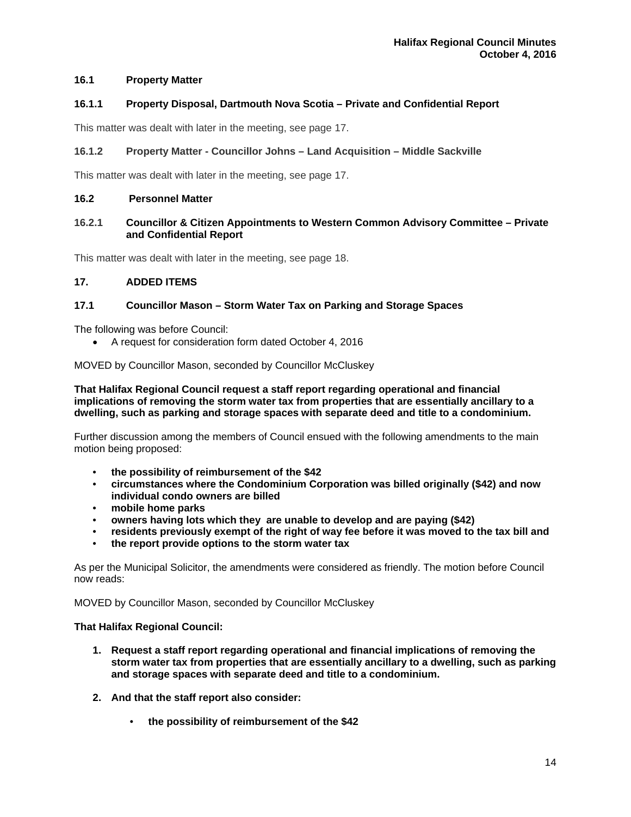# **16.1 Property Matter**

## **16.1.1 Property Disposal, Dartmouth Nova Scotia – Private and Confidential Report**

This matter was dealt with later in the meeting, see page 17.

## **16.1.2 Property Matter - Councillor Johns – Land Acquisition – Middle Sackville**

This matter was dealt with later in the meeting, see page 17.

#### **16.2 Personnel Matter**

## **16.2.1 Councillor & Citizen Appointments to Western Common Advisory Committee – Private and Confidential Report**

This matter was dealt with later in the meeting, see page 18.

#### **17. ADDED ITEMS**

## **17.1 Councillor Mason – Storm Water Tax on Parking and Storage Spaces**

The following was before Council:

A request for consideration form dated October 4, 2016

MOVED by Councillor Mason, seconded by Councillor McCluskey

**That Halifax Regional Council request a staff report regarding operational and financial implications of removing the storm water tax from properties that are essentially ancillary to a dwelling, such as parking and storage spaces with separate deed and title to a condominium.** 

Further discussion among the members of Council ensued with the following amendments to the main motion being proposed:

- **the possibility of reimbursement of the \$42**
- **circumstances where the Condominium Corporation was billed originally (\$42) and now individual condo owners are billed**
- **mobile home parks**
- **owners having lots which they are unable to develop and are paying (\$42)**
- **residents previously exempt of the right of way fee before it was moved to the tax bill and**
- **the report provide options to the storm water tax**

As per the Municipal Solicitor, the amendments were considered as friendly. The motion before Council now reads:

MOVED by Councillor Mason, seconded by Councillor McCluskey

#### **That Halifax Regional Council:**

- **1. Request a staff report regarding operational and financial implications of removing the storm water tax from properties that are essentially ancillary to a dwelling, such as parking and storage spaces with separate deed and title to a condominium.**
- **2. And that the staff report also consider:** 
	- **the possibility of reimbursement of the \$42**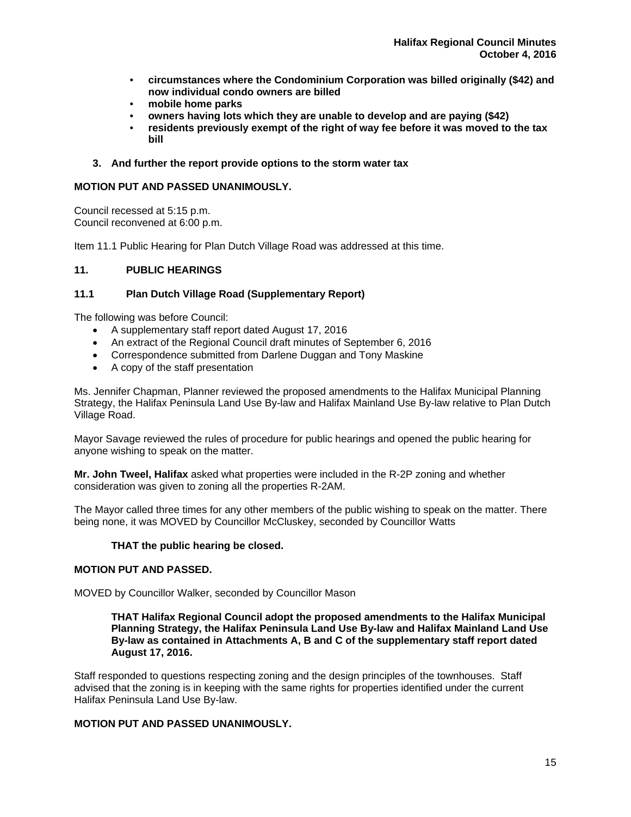- **circumstances where the Condominium Corporation was billed originally (\$42) and now individual condo owners are billed**
- **mobile home parks**
- **owners having lots which they are unable to develop and are paying (\$42)**
- **residents previously exempt of the right of way fee before it was moved to the tax bill**
- **3. And further the report provide options to the storm water tax**

## **MOTION PUT AND PASSED UNANIMOUSLY.**

Council recessed at 5:15 p.m. Council reconvened at 6:00 p.m.

Item 11.1 Public Hearing for Plan Dutch Village Road was addressed at this time.

## **11. PUBLIC HEARINGS**

## **11.1 Plan Dutch Village Road (Supplementary Report)**

The following was before Council:

- A supplementary staff report dated August 17, 2016
- An extract of the Regional Council draft minutes of September 6, 2016
- Correspondence submitted from Darlene Duggan and Tony Maskine
- A copy of the staff presentation

Ms. Jennifer Chapman, Planner reviewed the proposed amendments to the Halifax Municipal Planning Strategy, the Halifax Peninsula Land Use By-law and Halifax Mainland Use By-law relative to Plan Dutch Village Road.

Mayor Savage reviewed the rules of procedure for public hearings and opened the public hearing for anyone wishing to speak on the matter.

**Mr. John Tweel, Halifax** asked what properties were included in the R-2P zoning and whether consideration was given to zoning all the properties R-2AM.

The Mayor called three times for any other members of the public wishing to speak on the matter. There being none, it was MOVED by Councillor McCluskey, seconded by Councillor Watts

## **THAT the public hearing be closed.**

## **MOTION PUT AND PASSED.**

MOVED by Councillor Walker, seconded by Councillor Mason

**THAT Halifax Regional Council adopt the proposed amendments to the Halifax Municipal Planning Strategy, the Halifax Peninsula Land Use By-law and Halifax Mainland Land Use By-law as contained in Attachments A, B and C of the supplementary staff report dated August 17, 2016.** 

Staff responded to questions respecting zoning and the design principles of the townhouses. Staff advised that the zoning is in keeping with the same rights for properties identified under the current Halifax Peninsula Land Use By-law.

# **MOTION PUT AND PASSED UNANIMOUSLY.**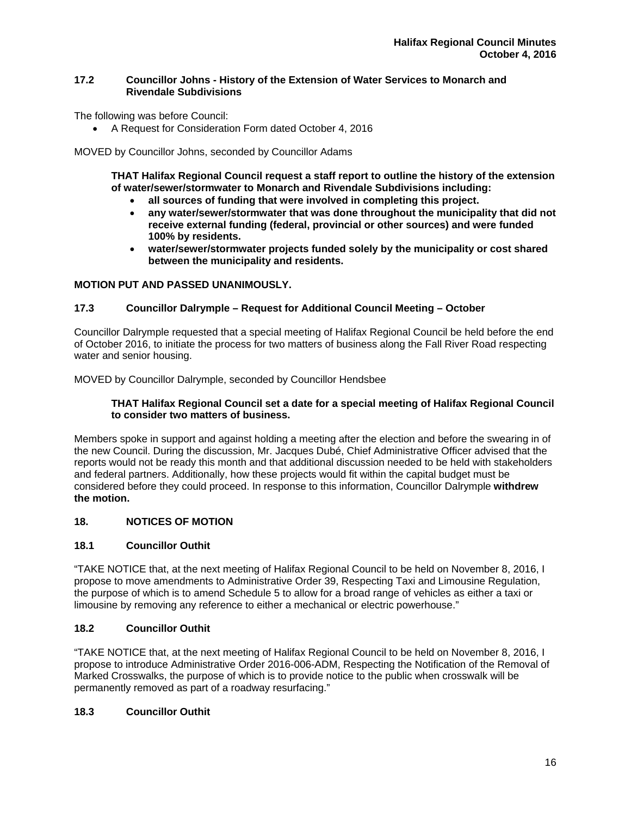## **17.2 Councillor Johns - History of the Extension of Water Services to Monarch and Rivendale Subdivisions**

The following was before Council:

A Request for Consideration Form dated October 4, 2016

MOVED by Councillor Johns, seconded by Councillor Adams

**THAT Halifax Regional Council request a staff report to outline the history of the extension of water/sewer/stormwater to Monarch and Rivendale Subdivisions including:** 

- **all sources of funding that were involved in completing this project.**
- **any water/sewer/stormwater that was done throughout the municipality that did not receive external funding (federal, provincial or other sources) and were funded 100% by residents.**
- **water/sewer/stormwater projects funded solely by the municipality or cost shared between the municipality and residents.**

## **MOTION PUT AND PASSED UNANIMOUSLY.**

## **17.3 Councillor Dalrymple – Request for Additional Council Meeting – October**

Councillor Dalrymple requested that a special meeting of Halifax Regional Council be held before the end of October 2016, to initiate the process for two matters of business along the Fall River Road respecting water and senior housing.

MOVED by Councillor Dalrymple, seconded by Councillor Hendsbee

## **THAT Halifax Regional Council set a date for a special meeting of Halifax Regional Council to consider two matters of business.**

Members spoke in support and against holding a meeting after the election and before the swearing in of the new Council. During the discussion, Mr. Jacques Dubé, Chief Administrative Officer advised that the reports would not be ready this month and that additional discussion needed to be held with stakeholders and federal partners. Additionally, how these projects would fit within the capital budget must be considered before they could proceed. In response to this information, Councillor Dalrymple **withdrew the motion.**

# **18. NOTICES OF MOTION**

## **18.1 Councillor Outhit**

"TAKE NOTICE that, at the next meeting of Halifax Regional Council to be held on November 8, 2016, I propose to move amendments to Administrative Order 39, Respecting Taxi and Limousine Regulation, the purpose of which is to amend Schedule 5 to allow for a broad range of vehicles as either a taxi or limousine by removing any reference to either a mechanical or electric powerhouse."

## **18.2 Councillor Outhit**

"TAKE NOTICE that, at the next meeting of Halifax Regional Council to be held on November 8, 2016, I propose to introduce Administrative Order 2016-006-ADM, Respecting the Notification of the Removal of Marked Crosswalks, the purpose of which is to provide notice to the public when crosswalk will be permanently removed as part of a roadway resurfacing."

# **18.3 Councillor Outhit**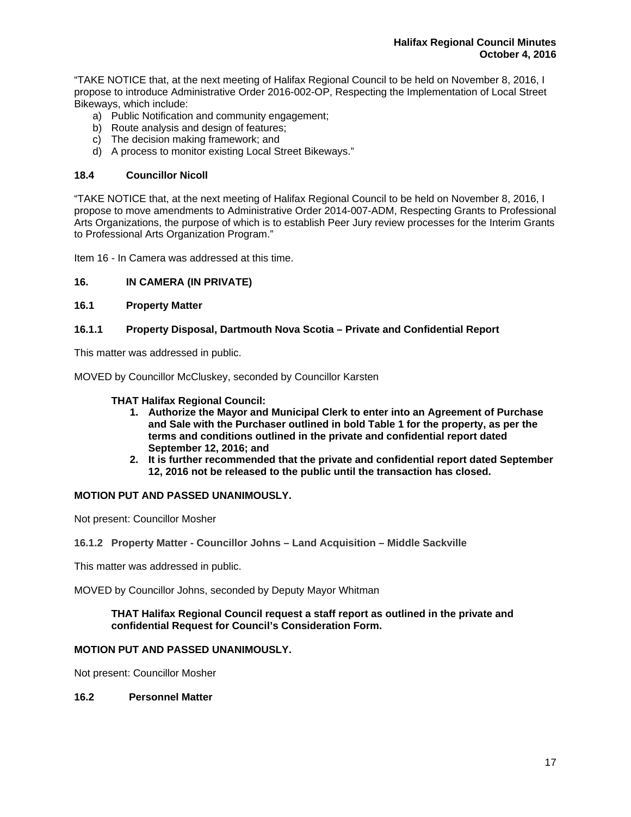"TAKE NOTICE that, at the next meeting of Halifax Regional Council to be held on November 8, 2016, I propose to introduce Administrative Order 2016-002-OP, Respecting the Implementation of Local Street Bikeways, which include:

- a) Public Notification and community engagement;
- b) Route analysis and design of features;
- c) The decision making framework; and
- d) A process to monitor existing Local Street Bikeways."

## **18.4 Councillor Nicoll**

"TAKE NOTICE that, at the next meeting of Halifax Regional Council to be held on November 8, 2016, I propose to move amendments to Administrative Order 2014-007-ADM, Respecting Grants to Professional Arts Organizations, the purpose of which is to establish Peer Jury review processes for the Interim Grants to Professional Arts Organization Program."

Item 16 - In Camera was addressed at this time.

## **16. IN CAMERA (IN PRIVATE)**

## **16.1 Property Matter**

## **16.1.1 Property Disposal, Dartmouth Nova Scotia – Private and Confidential Report**

This matter was addressed in public.

MOVED by Councillor McCluskey, seconded by Councillor Karsten

## **THAT Halifax Regional Council:**

- **1. Authorize the Mayor and Municipal Clerk to enter into an Agreement of Purchase and Sale with the Purchaser outlined in bold Table 1 for the property, as per the terms and conditions outlined in the private and confidential report dated September 12, 2016; and**
- **2. It is further recommended that the private and confidential report dated September 12, 2016 not be released to the public until the transaction has closed.**

## **MOTION PUT AND PASSED UNANIMOUSLY.**

Not present: Councillor Mosher

#### **16.1.2 Property Matter - Councillor Johns – Land Acquisition – Middle Sackville**

This matter was addressed in public.

MOVED by Councillor Johns, seconded by Deputy Mayor Whitman

## **THAT Halifax Regional Council request a staff report as outlined in the private and confidential Request for Council's Consideration Form.**

# **MOTION PUT AND PASSED UNANIMOUSLY.**

Not present: Councillor Mosher

## **16.2 Personnel Matter**